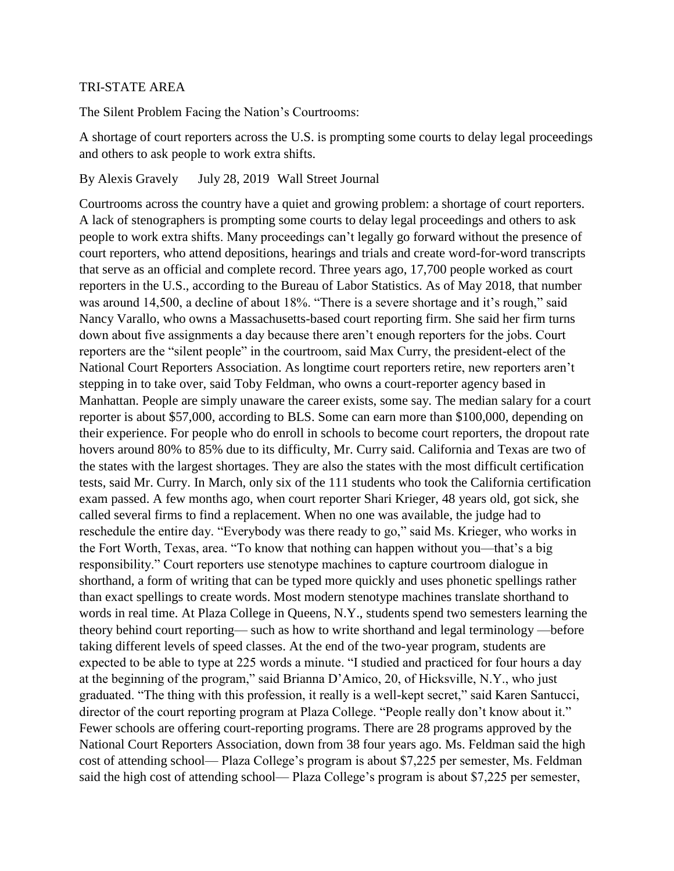## TRI-STATE AREA

The Silent Problem Facing the Nation's Courtrooms:

A shortage of court reporters across the U.S. is prompting some courts to delay legal proceedings and others to ask people to work extra shifts.

By Alexis Gravely July 28, 2019 Wall Street Journal

Courtrooms across the country have a quiet and growing problem: a shortage of court reporters. A lack of stenographers is prompting some courts to delay legal proceedings and others to ask people to work extra shifts. Many proceedings can't legally go forward without the presence of court reporters, who attend depositions, hearings and trials and create word-for-word transcripts that serve as an official and complete record. Three years ago, 17,700 people worked as court reporters in the U.S., according to the Bureau of Labor Statistics. As of May 2018, that number was around 14,500, a decline of about 18%. "There is a severe shortage and it's rough," said Nancy Varallo, who owns a Massachusetts-based court reporting firm. She said her firm turns down about five assignments a day because there aren't enough reporters for the jobs. Court reporters are the "silent people" in the courtroom, said Max Curry, the president-elect of the National Court Reporters Association. As longtime court reporters retire, new reporters aren't stepping in to take over, said Toby Feldman, who owns a court-reporter agency based in Manhattan. People are simply unaware the career exists, some say. The median salary for a court reporter is about \$57,000, according to BLS. Some can earn more than \$100,000, depending on their experience. For people who do enroll in schools to become court reporters, the dropout rate hovers around 80% to 85% due to its difficulty, Mr. Curry said. California and Texas are two of the states with the largest shortages. They are also the states with the most difficult certification tests, said Mr. Curry. In March, only six of the 111 students who took the California certification exam passed. A few months ago, when court reporter Shari Krieger, 48 years old, got sick, she called several firms to find a replacement. When no one was available, the judge had to reschedule the entire day. "Everybody was there ready to go," said Ms. Krieger, who works in the Fort Worth, Texas, area. "To know that nothing can happen without you—that's a big responsibility." Court reporters use stenotype machines to capture courtroom dialogue in shorthand, a form of writing that can be typed more quickly and uses phonetic spellings rather than exact spellings to create words. Most modern stenotype machines translate shorthand to words in real time. At Plaza College in Queens, N.Y., students spend two semesters learning the theory behind court reporting— such as how to write shorthand and legal terminology —before taking different levels of speed classes. At the end of the two-year program, students are expected to be able to type at 225 words a minute. "I studied and practiced for four hours a day at the beginning of the program," said Brianna D'Amico, 20, of Hicksville, N.Y., who just graduated. "The thing with this profession, it really is a well-kept secret," said Karen Santucci, director of the court reporting program at Plaza College. "People really don't know about it." Fewer schools are offering court-reporting programs. There are 28 programs approved by the National Court Reporters Association, down from 38 four years ago. Ms. Feldman said the high cost of attending school— Plaza College's program is about \$7,225 per semester, Ms. Feldman said the high cost of attending school— Plaza College's program is about \$7,225 per semester,